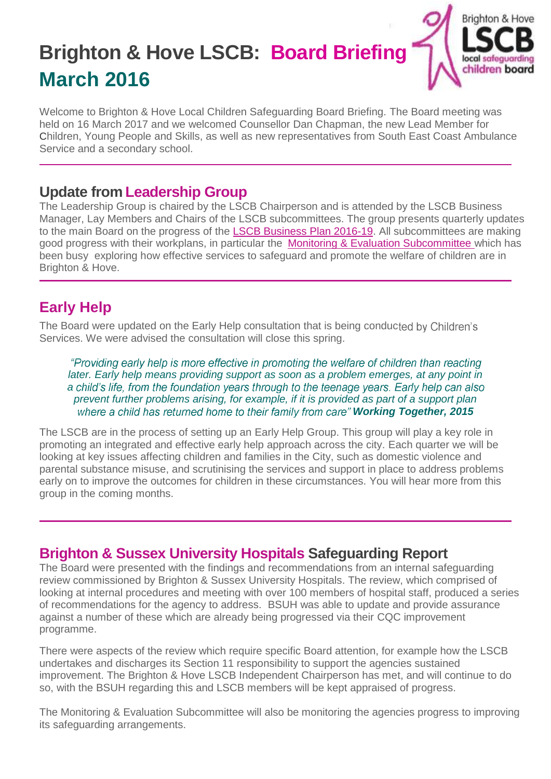# **Brighton & Hove LSCB: Board Briefing March 2016**



Welcome to Brighton & Hove Local Children Safeguarding Board Briefing. The Board meeting was held on 16 March 2017 and we welcomed Counsellor Dan Chapman, the new Lead Member for Children, Young People and Skills, as well as new representatives from South East Coast Ambulance Service and a secondary school.

#### **Update from Leadership Group**

The Leadership Group is chaired by the LSCB Chairperson and is attended by the LSCB Business Manager, Lay Members and Chairs of the LSCB subcommittees. The group presents quarterly updates to the main Board on the progress of the [LSCB Business Plan 2016-19.](http://www.brightonandhovelscb.org.uk/wp-content/uploads/Brighton-Hove-LSCB-Business-Plan-2016-19.pdf) All subcommittees are making good progress with their workplans, in particular the [Monitoring & Evaluation Subcommittee](http://www.brightonandhovelscb.org.uk/home_sub_groups/h_sub_mon_eval/quality-assurance-activity/) which has been busy exploring how effective services to safeguard and promote the welfare of children are in Brighton & Hove.

# **Early Help**

The Board were updated on the Early Help consultation that is being conducted by Children's Services. We were advised the consultation will close this spring.

"Providing early help is more effective in promoting the welfare of children than reacting *later. Early help means providing support as soon as a problem emerges, at any point in*  a child's life, from the foundation years through to the teenage years. Early help can also *prevent further problems arising, for example, if it is provided as part of a support plan*  where a child has returned home to their family from care" **Working Together, 2015** 

The LSCB are in the process of setting up an Early Help Group. This group will play a key role in promoting an integrated and effective early help approach across the city. Each quarter we will be looking at key issues affecting children and families in the City, such as domestic violence and parental substance misuse, and scrutinising the services and support in place to address problems early on to improve the outcomes for children in these circumstances. You will hear more from this group in the coming months.

### **Brighton & Sussex University Hospitals Safeguarding Report**

The Board were presented with the findings and recommendations from an internal safeguarding review commissioned by Brighton & Sussex University Hospitals. The review, which comprised of looking at internal procedures and meeting with over 100 members of hospital staff, produced a series of recommendations for the agency to address. BSUH was able to update and provide assurance against a number of these which are already being progressed via their CQC improvement programme.

There were aspects of the review which require specific Board attention, for example how the LSCB undertakes and discharges its Section 11 responsibility to support the agencies sustained improvement. The Brighton & Hove LSCB Independent Chairperson has met, and will continue to do so, with the BSUH regarding this and LSCB members will be kept appraised of progress.

The Monitoring & Evaluation Subcommittee will also be monitoring the agencies progress to improving its safeguarding arrangements.